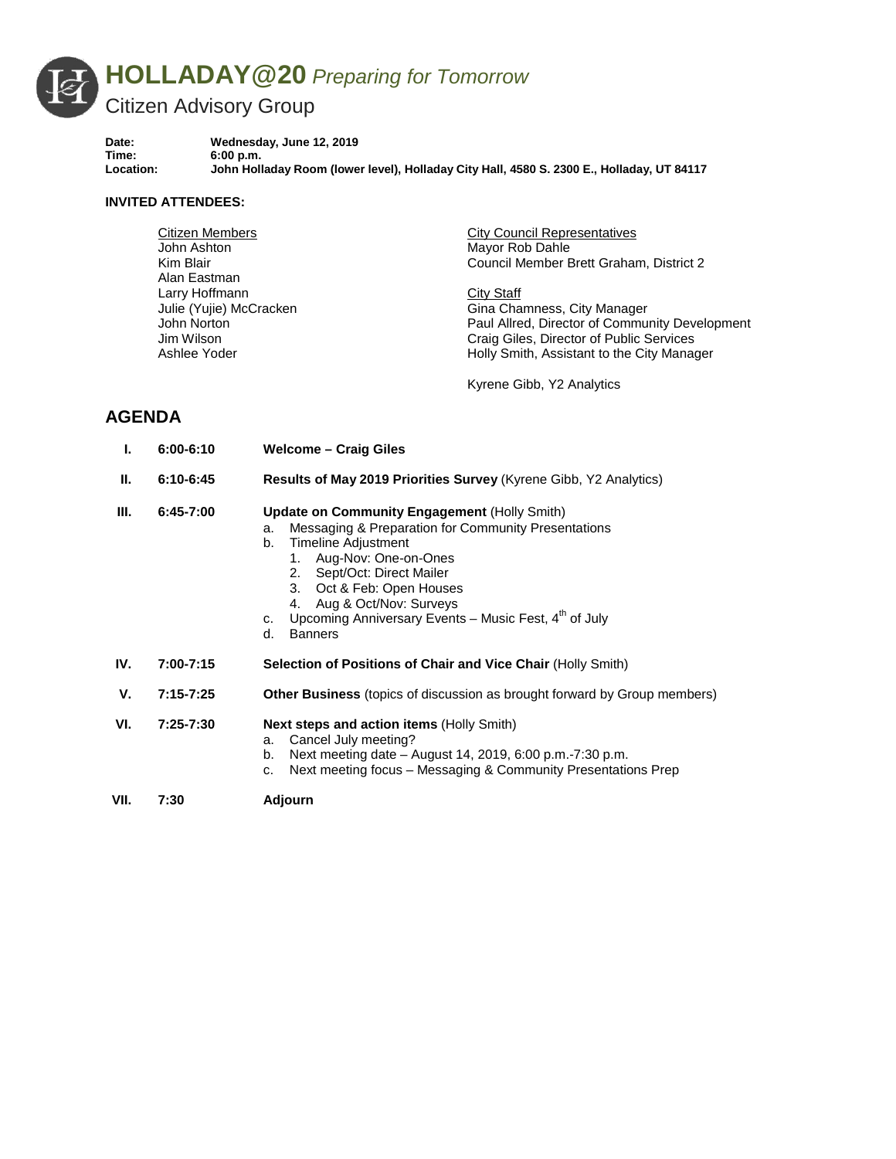

**Date: Wednesday, June 12, 2019 Time: 6:00 p.m. Location: John Holladay Room (lower level), Holladay City Hall, 4580 S. 2300 E., Holladay, UT 84117**

## **INVITED ATTENDEES:**

| Citizen Members         | <b>City Council Representatives</b>            |
|-------------------------|------------------------------------------------|
| John Ashton             | Mayor Rob Dahle                                |
| Kim Blair               | Council Member Brett Graham, District 2        |
| Alan Eastman            |                                                |
| Larry Hoffmann          | City Staff                                     |
| Julie (Yujie) McCracken | Gina Chamness, City Manager                    |
| John Norton             | Paul Allred, Director of Community Development |
| Jim Wilson              | Craig Giles, Director of Public Services       |
| Ashlee Yoder            | Holly Smith, Assistant to the City Manager     |
|                         |                                                |

Kyrene Gibb, Y2 Analytics

## **AGENDA**

- **I. 6:00-6:10 Welcome – Craig Giles**
- **II. 6:10-6:45 Results of May 2019 Priorities Survey** (Kyrene Gibb, Y2 Analytics)

## **III. 6:45-7:00 Update on Community Engagement** (Holly Smith)

- a. Messaging & Preparation for Community Presentations
- b. Timeline Adjustment
	- 1. Aug-Nov: One-on-Ones
	- 2. Sept/Oct: Direct Mailer
	- 3. Oct & Feb: Open Houses
	- 4. Aug & Oct/Nov: Surveys
- c. Upcoming Anniversary Events Music Fest,  $4<sup>th</sup>$  of July
- d. Banners
- **IV. 7:00-7:15 Selection of Positions of Chair and Vice Chair** (Holly Smith)
- **V. 7:15-7:25 Other Business** (topics of discussion as brought forward by Group members)
- **VI. 7:25-7:30 Next steps and action items** (Holly Smith)
	- a. Cancel July meeting?
	- b. Next meeting date August 14, 2019, 6:00 p.m.-7:30 p.m.
	- c. Next meeting focus Messaging & Community Presentations Prep
- **VII. 7:30 Adjourn**